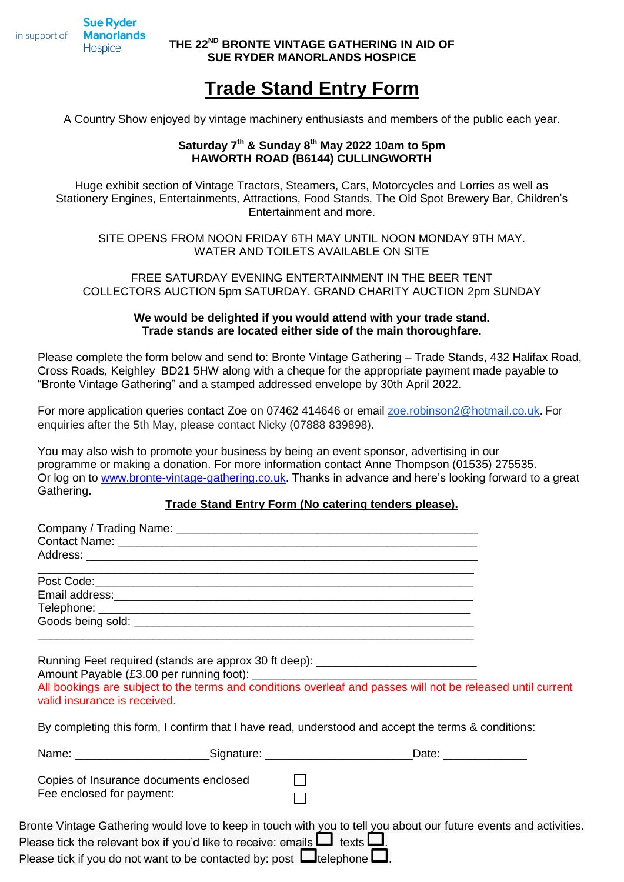**Sue Ryder** in support of **Manorlands Hospice** 

**THE 22 ND BRONTE VINTAGE GATHERING IN AID OF SUE RYDER MANORLANDS HOSPICE**

# **Trade Stand Entry Form**

A Country Show enjoyed by vintage machinery enthusiasts and members of the public each year.

## **Saturday 7 th & Sunday 8th May 2022 10am to 5pm HAWORTH ROAD (B6144) CULLINGWORTH**

Huge exhibit section of Vintage Tractors, Steamers, Cars, Motorcycles and Lorries as well as Stationery Engines, Entertainments, Attractions, Food Stands, The Old Spot Brewery Bar, Children's Entertainment and more.

SITE OPENS FROM NOON FRIDAY 6TH MAY UNTIL NOON MONDAY 9TH MAY. WATER AND TOILETS AVAILABLE ON SITE

FREE SATURDAY EVENING ENTERTAINMENT IN THE BEER TENT COLLECTORS AUCTION 5pm SATURDAY. GRAND CHARITY AUCTION 2pm SUNDAY

## **We would be delighted if you would attend with your trade stand. Trade stands are located either side of the main thoroughfare.**

Please complete the form below and send to: Bronte Vintage Gathering – Trade Stands, 432 Halifax Road, Cross Roads, Keighley BD21 5HW along with a cheque for the appropriate payment made payable to "Bronte Vintage Gathering" and a stamped addressed envelope by 30th April 2022.

For more application queries contact Zoe on 07462 414646 or email [zoe.robinson2@hotmail.co.uk](mailto:zoe.robinson2@hotmail.co.uk). For enquiries after the 5th May, please contact Nicky (07888 839898).

You may also wish to promote your business by being an event sponsor, advertising in our programme or making a donation. For more information contact Anne Thompson (01535) 275535. Or log on to [www.bronte-vintage-gathering.co.uk.](http://www.bronte-vintage-gathering.co.uk/) Thanks in advance and here's looking forward to a great Gathering.

### **Trade Stand Entry Form (No catering tenders please).**

| valid insurance is received. | Running Feet required (stands are approx 30 ft deep): __________________________                                                                                         | All bookings are subject to the terms and conditions overleaf and passes will not be released until current       |
|------------------------------|--------------------------------------------------------------------------------------------------------------------------------------------------------------------------|-------------------------------------------------------------------------------------------------------------------|
|                              |                                                                                                                                                                          | By completing this form, I confirm that I have read, understood and accept the terms & conditions:                |
|                              |                                                                                                                                                                          | Name: ____________________________Signature: ______________________________Date: __________________               |
| Fee enclosed for payment:    | Copies of Insurance documents enclosed                                                                                                                                   |                                                                                                                   |
|                              | Please tick the relevant box if you'd like to receive: emails $\Box$ texts $\Box$ .<br>Please tick if you do not want to be contacted by: post $\Box$ telephone $\Box$ . | Bronte Vintage Gathering would love to keep in touch with you to tell you about our future events and activities. |